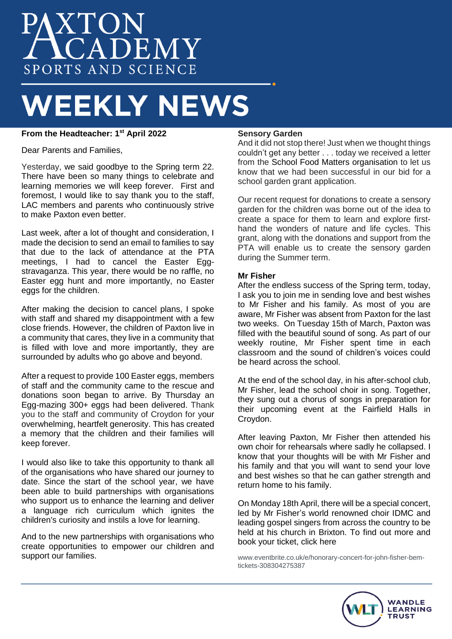# AXTON<br>ACADEMY SPORTS AND SCIENCE

# **WEEKLY NEWS**

# **From the Headteacher: 1st April 2022**

Dear Parents and Families,

Yesterday, we said goodbye to the Spring term 22. There have been so many things to celebrate and learning memories we will keep forever. First and foremost, I would like to say thank you to the staff, LAC members and parents who continuously strive to make Paxton even better.

Last week, after a lot of thought and consideration, I made the decision to send an email to families to say that due to the lack of attendance at the PTA meetings, I had to cancel the Easter Eggstravaganza. This year, there would be no raffle, no Easter egg hunt and more importantly, no Easter eggs for the children.

After making the decision to cancel plans, I spoke with staff and shared my disappointment with a few close friends. However, the children of Paxton live in a community that cares, they live in a community that is filled with love and more importantly, they are surrounded by adults who go above and beyond.

After a request to provide 100 Easter eggs, members of staff and the community came to the rescue and donations soon began to arrive. By Thursday an Egg-mazing 300+ eggs had been delivered. Thank you to the staff and community of Croydon for your overwhelming, heartfelt generosity. This has created a memory that the children and their families will keep forever.

I would also like to take this opportunity to thank all of the organisations who have shared our journey to date. Since the start of the school year, we have been able to build partnerships with organisations who support us to enhance the learning and deliver a language rich curriculum which ignites the children's curiosity and instils a love for learning.

And to the new partnerships with organisations who create opportunities to empower our children and support our families.

# **Sensory Garden**

And it did not stop there! Just when we thought things couldn't get any better . . . today we received a letter from the School Food Matters organisation to let us know that we had been successful in our bid for a school garden grant application.

Our recent request for donations to create a sensory garden for the children was borne out of the idea to create a space for them to learn and explore firsthand the wonders of nature and life cycles. This grant, along with the donations and support from the PTA will enable us to create the sensory garden during the Summer term.

# **Mr Fisher**

After the endless success of the Spring term, today, I ask you to join me in sending love and best wishes to Mr Fisher and his family. As most of you are aware, Mr Fisher was absent from Paxton for the last two weeks. On Tuesday 15th of March, Paxton was filled with the beautiful sound of song. As part of our weekly routine, Mr Fisher spent time in each classroom and the sound of children's voices could be heard across the school.

At the end of the school day, in his after-school club, Mr Fisher, lead the school choir in song. Together, they sung out a chorus of songs in preparation for their upcoming event at the Fairfield Halls in Croydon.

After leaving Paxton, Mr Fisher then attended his own choir for rehearsals where sadly he collapsed. I know that your thoughts will be with Mr Fisher and his family and that you will want to send your love and best wishes so that he can gather strength and return home to his family.

On Monday 18th April, there will be a special concert, led by Mr Fisher's world renowned choir IDMC and leading gospel singers from across the country to be held at his church in Brixton. To find out more and book your ticket, click here

[www.eventbrite.co.uk/e/honorary-concert-for-john-fisher-bem](http://www.eventbrite.co.uk/e/honorary-concert-for-john-fisher-bem-tickets-308304275387)[tickets-308304275387](http://www.eventbrite.co.uk/e/honorary-concert-for-john-fisher-bem-tickets-308304275387)